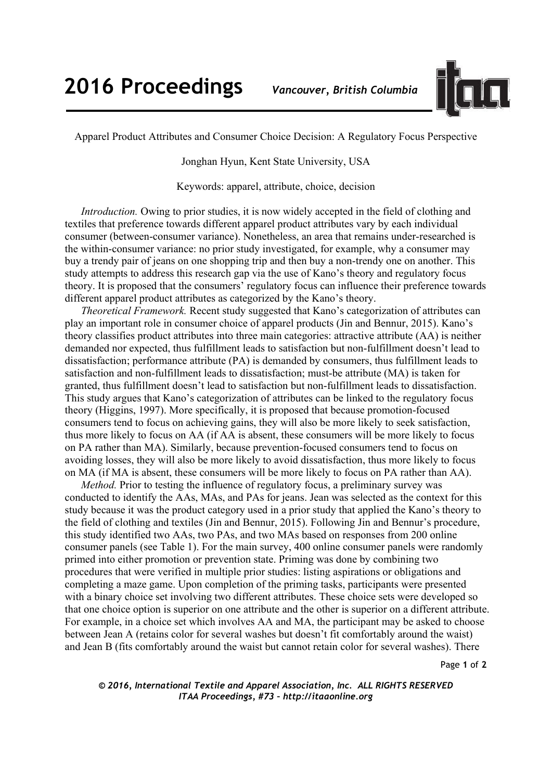

Apparel Product Attributes and Consumer Choice Decision: A Regulatory Focus Perspective

Jonghan Hyun, Kent State University, USA

Keywords: apparel, attribute, choice, decision

*Introduction.* Owing to prior studies, it is now widely accepted in the field of clothing and textiles that preference towards different apparel product attributes vary by each individual consumer (between-consumer variance). Nonetheless, an area that remains under-researched is the within-consumer variance: no prior study investigated, for example, why a consumer may buy a trendy pair of jeans on one shopping trip and then buy a non-trendy one on another. This study attempts to address this research gap via the use of Kano's theory and regulatory focus theory. It is proposed that the consumers' regulatory focus can influence their preference towards different apparel product attributes as categorized by the Kano's theory.

*Theoretical Framework.* Recent study suggested that Kano's categorization of attributes can play an important role in consumer choice of apparel products (Jin and Bennur, 2015). Kano's theory classifies product attributes into three main categories: attractive attribute (AA) is neither demanded nor expected, thus fulfillment leads to satisfaction but non-fulfillment doesn't lead to dissatisfaction; performance attribute (PA) is demanded by consumers, thus fulfillment leads to satisfaction and non-fulfillment leads to dissatisfaction; must-be attribute (MA) is taken for granted, thus fulfillment doesn't lead to satisfaction but non-fulfillment leads to dissatisfaction. This study argues that Kano's categorization of attributes can be linked to the regulatory focus theory (Higgins, 1997). More specifically, it is proposed that because promotion-focused consumers tend to focus on achieving gains, they will also be more likely to seek satisfaction, thus more likely to focus on AA (if AA is absent, these consumers will be more likely to focus on PA rather than MA). Similarly, because prevention-focused consumers tend to focus on avoiding losses, they will also be more likely to avoid dissatisfaction, thus more likely to focus on MA (if MA is absent, these consumers will be more likely to focus on PA rather than AA).

*Method.* Prior to testing the influence of regulatory focus, a preliminary survey was conducted to identify the AAs, MAs, and PAs for jeans. Jean was selected as the context for this study because it was the product category used in a prior study that applied the Kano's theory to the field of clothing and textiles (Jin and Bennur, 2015). Following Jin and Bennur's procedure, this study identified two AAs, two PAs, and two MAs based on responses from 200 online consumer panels (see Table 1). For the main survey, 400 online consumer panels were randomly primed into either promotion or prevention state. Priming was done by combining two procedures that were verified in multiple prior studies: listing aspirations or obligations and completing a maze game. Upon completion of the priming tasks, participants were presented with a binary choice set involving two different attributes. These choice sets were developed so that one choice option is superior on one attribute and the other is superior on a different attribute. For example, in a choice set which involves AA and MA, the participant may be asked to choose between Jean A (retains color for several washes but doesn't fit comfortably around the waist) and Jean B (fits comfortably around the waist but cannot retain color for several washes). There

Page **1** of **2** 

*© 2016, International Textile and Apparel Association, Inc. ALL RIGHTS RESERVED ITAA Proceedings, #73 – http://itaaonline.org*